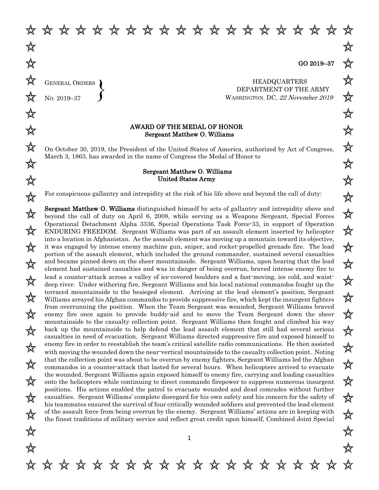₩

GENERAL ORDERS NO. 2019–37  $\left\{\right\}$ 

HEADQUARTERS DEPARTMENT OF THE ARMY WASHINGTON, DC, <sup>22</sup> November 2019

## AWARD OF THE MEDAL OF HONOR Sergeant Matthew O. Williams

\* \* \* \* \* \* \* \* \* \* \* \* \* \* \* \* \* \* \*

On October 30, 2019, the President of the United States of America, authorized by Act of Congress, March 3, 1863, has awarded in the name of Congress the Medal of Honor to

## Sergeant Matthew O. Williams United States Army

For conspicuous gallantry and intrepidity at the risk of his life above and beyond the call of duty:

Sergeant Matthew O. Williams distinguished himself by acts of gallantry and intrepidity above and beyond the call of duty on April 6, 2008, while serving as a Weapons Sergeant, Special Forces Operational Detachment Alpha 3336, Special Operations Task Force-33, in support of Operation ENDURING FREEDOM. Sergeant Williams was part of an assault element inserted by helicopter into a location in Afghanistan. As the assault element was moving up a mountain toward its objective, it was engaged by intense enemy machine gun, sniper, and rocket-propelled grenade fire. The lead portion of the assault element, which included the ground commander, sustained several casualties and became pinned down on the sheer mountainside. Sergeant Williams, upon hearing that the lead element had sustained casualties and was in danger of being overrun, braved intense enemy fire to lead a counter-attack across a valley of ice-covered boulders and a fast-moving, ice cold, and waistdeep river. Under withering fire, Sergeant Williams and his local national commandos fought up the terraced mountainside to the besieged element. Arriving at the lead element's position, Sergeant Williams arrayed his Afghan commandos to provide suppressive fire, which kept the insurgent fighters from overrunning the position. When the Team Sergeant was wounded, Sergeant Williams braved enemy fire once again to provide buddy-aid and to move the Team Sergeant down the sheer mountainside to the casualty collection point. Sergeant Williams then fought and climbed his way back up the mountainside to help defend the lead assault element that still had several serious casualties in need of evacuation. Sergeant Williams directed suppressive fire and exposed himself to enemy fire in order to reestablish the team's critical satellite radio communications. He then assisted with moving the wounded down the near-vertical mountainside to the casualty collection point. Noting that the collection point was about to be overrun by enemy fighters, Sergeant Williams led the Afghan commandos in a counter-attack that lasted for several hours. When helicopters arrived to evacuate the wounded, Sergeant Williams again exposed himself to enemy fire, carrying and loading casualties onto the helicopters while continuing to direct commando firepower to suppress numerous insurgent positions. His actions enabled the patrol to evacuate wounded and dead comrades without further casualties. Sergeant Williams' complete disregard for his own safety and his concern for the safety of his teammates ensured the survival of four critically wounded soldiers and prevented the lead element of the assault force from being overrun by the enemy. Sergeant Williams' actions are in keeping with the finest traditions of military service and reflect great credit upon himself, Combined Joint Special

\* \* \* \* \* \* \* \* \* \* \* \* \* \* \* \* \*

苡

☆

☆

☆

☆

☆

☆

欢

☆

☆

☆

☆

欢

☆

☆

☆

☆

☆

☆

☆

☆

☆